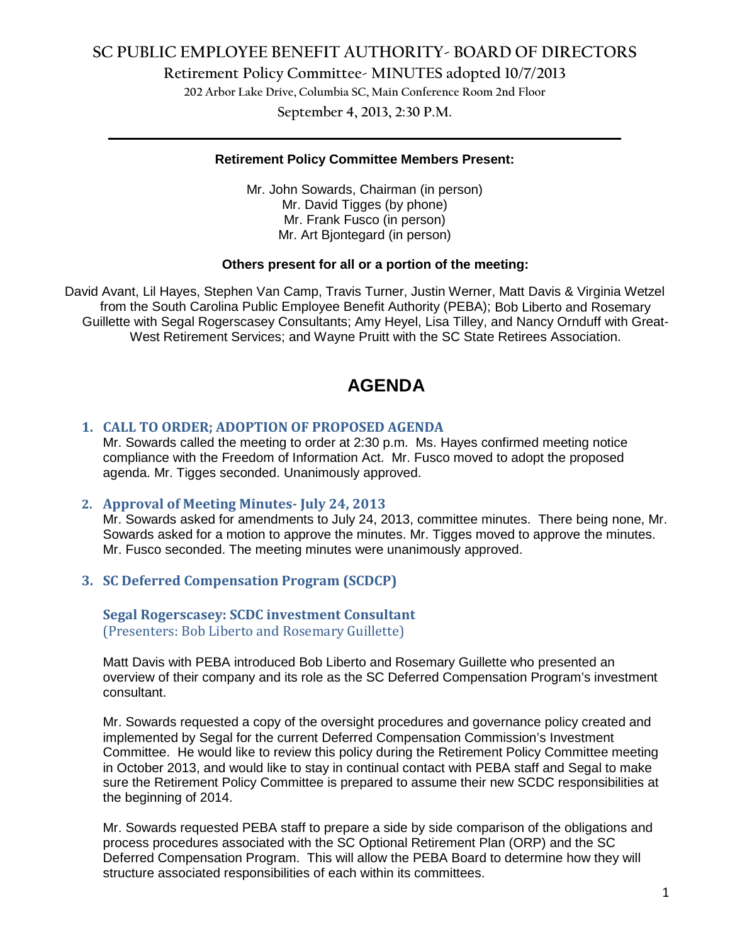# **SC PUBLIC EMPLOYEE BENEFIT AUTHORITY- BOARD OF DIRECTORS**

**Retirement Policy Committee- MINUTES adopted 10/7/2013**

**202 Arbor Lake Drive, Columbia SC, Main Conference Room 2nd Floor**

**September 4, 2013, 2:30 P.M. \_\_\_\_\_\_\_\_\_\_\_\_\_\_\_\_\_\_\_\_\_\_\_\_\_\_\_\_\_\_\_\_\_\_\_\_\_\_\_\_\_\_\_\_\_\_\_\_\_\_\_\_\_\_\_\_\_\_\_\_\_\_\_\_\_\_\_\_\_\_\_\_**

#### **Retirement Policy Committee Members Present:**

Mr. John Sowards, Chairman (in person) Mr. David Tigges (by phone) Mr. Frank Fusco (in person) Mr. Art Bjontegard (in person)

#### **Others present for all or a portion of the meeting:**

David Avant, Lil Hayes, Stephen Van Camp, Travis Turner, Justin Werner, Matt Davis & Virginia Wetzel from the South Carolina Public Employee Benefit Authority (PEBA); Bob Liberto and Rosemary Guillette with Segal Rogerscasey Consultants; Amy Heyel, Lisa Tilley, and Nancy Ornduff with Great-West Retirement Services; and Wayne Pruitt with the SC State Retirees Association.

# **AGENDA**

## **1. CALL TO ORDER; ADOPTION OF PROPOSED AGENDA**

Mr. Sowards called the meeting to order at 2:30 p.m. Ms. Hayes confirmed meeting notice compliance with the Freedom of Information Act. Mr. Fusco moved to adopt the proposed agenda. Mr. Tigges seconded. Unanimously approved.

## **2. Approval of Meeting Minutes- July 24, 2013**

Mr. Sowards asked for amendments to July 24, 2013, committee minutes. There being none, Mr. Sowards asked for a motion to approve the minutes. Mr. Tigges moved to approve the minutes. Mr. Fusco seconded. The meeting minutes were unanimously approved.

## **3. SC Deferred Compensation Program (SCDCP)**

**Segal Rogerscasey: SCDC investment Consultant** (Presenters: Bob Liberto and Rosemary Guillette)

Matt Davis with PEBA introduced Bob Liberto and Rosemary Guillette who presented an overview of their company and its role as the SC Deferred Compensation Program's investment consultant.

Mr. Sowards requested a copy of the oversight procedures and governance policy created and implemented by Segal for the current Deferred Compensation Commission's Investment Committee. He would like to review this policy during the Retirement Policy Committee meeting in October 2013, and would like to stay in continual contact with PEBA staff and Segal to make sure the Retirement Policy Committee is prepared to assume their new SCDC responsibilities at the beginning of 2014.

Mr. Sowards requested PEBA staff to prepare a side by side comparison of the obligations and process procedures associated with the SC Optional Retirement Plan (ORP) and the SC Deferred Compensation Program. This will allow the PEBA Board to determine how they will structure associated responsibilities of each within its committees.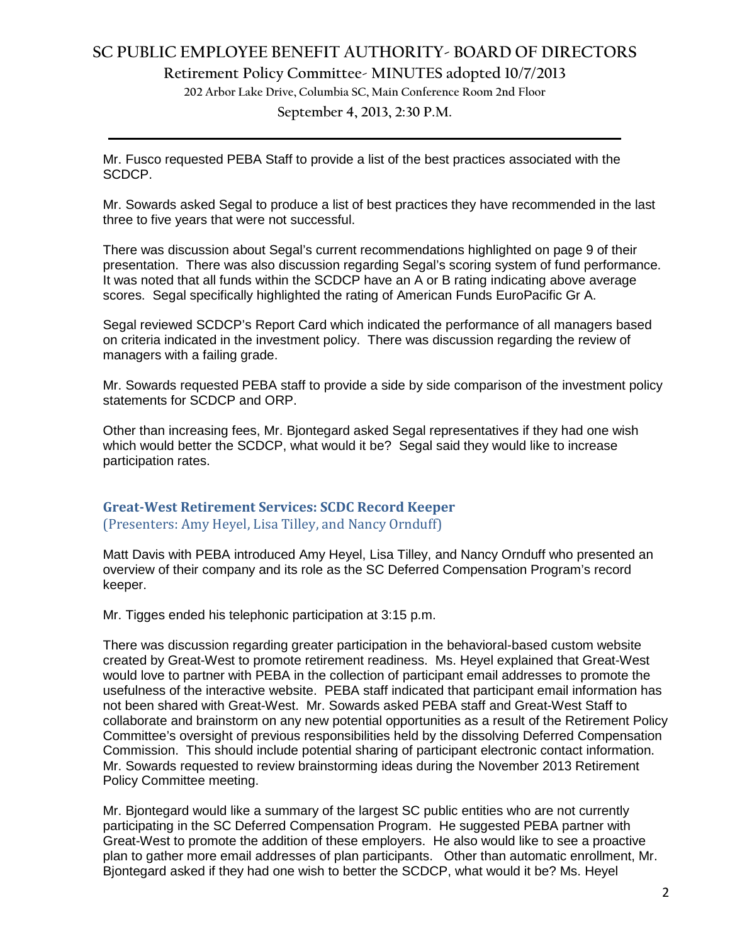# **SC PUBLIC EMPLOYEE BENEFIT AUTHORITY- BOARD OF DIRECTORS**

**Retirement Policy Committee- MINUTES adopted 10/7/2013**

**202 Arbor Lake Drive, Columbia SC, Main Conference Room 2nd Floor**

**September 4, 2013, 2:30 P.M. \_\_\_\_\_\_\_\_\_\_\_\_\_\_\_\_\_\_\_\_\_\_\_\_\_\_\_\_\_\_\_\_\_\_\_\_\_\_\_\_\_\_\_\_\_\_\_\_\_\_\_\_\_\_\_\_\_\_\_\_\_\_\_\_\_\_\_\_\_\_\_\_**

Mr. Fusco requested PEBA Staff to provide a list of the best practices associated with the SCDCP.

Mr. Sowards asked Segal to produce a list of best practices they have recommended in the last three to five years that were not successful.

There was discussion about Segal's current recommendations highlighted on page 9 of their presentation. There was also discussion regarding Segal's scoring system of fund performance. It was noted that all funds within the SCDCP have an A or B rating indicating above average scores. Segal specifically highlighted the rating of American Funds EuroPacific Gr A.

Segal reviewed SCDCP's Report Card which indicated the performance of all managers based on criteria indicated in the investment policy. There was discussion regarding the review of managers with a failing grade.

Mr. Sowards requested PEBA staff to provide a side by side comparison of the investment policy statements for SCDCP and ORP.

Other than increasing fees, Mr. Bjontegard asked Segal representatives if they had one wish which would better the SCDCP, what would it be? Segal said they would like to increase participation rates.

## **Great-West Retirement Services: SCDC Record Keeper** (Presenters: Amy Heyel, Lisa Tilley, and Nancy Ornduff)

Matt Davis with PEBA introduced Amy Heyel, Lisa Tilley, and Nancy Ornduff who presented an overview of their company and its role as the SC Deferred Compensation Program's record keeper.

Mr. Tigges ended his telephonic participation at 3:15 p.m.

There was discussion regarding greater participation in the behavioral-based custom website created by Great-West to promote retirement readiness. Ms. Heyel explained that Great-West would love to partner with PEBA in the collection of participant email addresses to promote the usefulness of the interactive website. PEBA staff indicated that participant email information has not been shared with Great-West. Mr. Sowards asked PEBA staff and Great-West Staff to collaborate and brainstorm on any new potential opportunities as a result of the Retirement Policy Committee's oversight of previous responsibilities held by the dissolving Deferred Compensation Commission. This should include potential sharing of participant electronic contact information. Mr. Sowards requested to review brainstorming ideas during the November 2013 Retirement Policy Committee meeting.

Mr. Bjontegard would like a summary of the largest SC public entities who are not currently participating in the SC Deferred Compensation Program. He suggested PEBA partner with Great-West to promote the addition of these employers. He also would like to see a proactive plan to gather more email addresses of plan participants. Other than automatic enrollment, Mr. Bjontegard asked if they had one wish to better the SCDCP, what would it be? Ms. Heyel